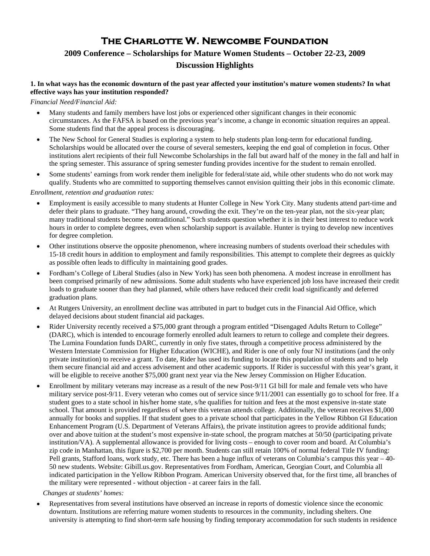# **The Charlotte W. Newcombe Foundation**

## **2009 Conference – Scholarships for Mature Women Students – October 22-23, 2009 Discussion Highlights**

#### **1. In what ways has the economic downturn of the past year affected your institution's mature women students? In what effective ways has your institution responded?**

#### *Financial Need/Financial Aid:*

- Many students and family members have lost jobs or experienced other significant changes in their economic circumstances. As the FAFSA is based on the previous year's income, a change in economic situation requires an appeal. Some students find that the appeal process is discouraging.
- The New School for General Studies is exploring a system to help students plan long-term for educational funding. Scholarships would be allocated over the course of several semesters, keeping the end goal of completion in focus. Other institutions alert recipients of their full Newcombe Scholarships in the fall but award half of the money in the fall and half in the spring semester. This assurance of spring semester funding provides incentive for the student to remain enrolled.
- Some students' earnings from work render them ineligible for federal/state aid, while other students who do not work may qualify. Students who are committed to supporting themselves cannot envision quitting their jobs in this economic climate.

#### *Enrollment, retention and graduation rates:*

- Employment is easily accessible to many students at Hunter College in New York City. Many students attend part-time and defer their plans to graduate. "They hang around, crowding the exit. They're on the ten-year plan, not the six-year plan; many traditional students become nontraditional." Such students question whether it is in their best interest to reduce work hours in order to complete degrees, even when scholarship support is available. Hunter is trying to develop new incentives for degree completion.
- Other institutions observe the opposite phenomenon, where increasing numbers of students overload their schedules with 15-18 credit hours in addition to employment and family responsibilities. This attempt to complete their degrees as quickly as possible often leads to difficulty in maintaining good grades.
- Fordham's College of Liberal Studies (also in New York) has seen both phenomena. A modest increase in enrollment has been comprised primarily of new admissions. Some adult students who have experienced job loss have increased their credit loads to graduate sooner than they had planned, while others have reduced their credit load significantly and deferred graduation plans.
- At Rutgers University, an enrollment decline was attributed in part to budget cuts in the Financial Aid Office, which delayed decisions about student financial aid packages.
- Rider University recently received a \$75,000 grant through a program entitled "Disengaged Adults Return to College" (DARC), which is intended to encourage formerly enrolled adult learners to return to college and complete their degrees. The Lumina Foundation funds DARC, currently in only five states, through a competitive process administered by the Western Interstate Commission for Higher Education (WICHE), and Rider is one of only four NJ institutions (and the only private institution) to receive a grant. To date, Rider has used its funding to locate this population of students and to help them secure financial aid and access advisement and other academic supports. If Rider is successful with this year's grant, it will be eligible to receive another \$75,000 grant next year via the New Jersey Commission on Higher Education.
- Enrollment by military veterans may increase as a result of the new Post-9/11 GI bill for male and female vets who have military service post-9/11. Every veteran who comes out of service since 9/11/2001 can essentially go to school for free. If a student goes to a state school in his/her home state, s/he qualifies for tuition and fees at the most expensive in-state state school. That amount is provided regardless of where this veteran attends college. Additionally, the veteran receives \$1,000 annually for books and supplies. If that student goes to a private school that participates in the Yellow Ribbon GI Education Enhancement Program (U.S. Department of Veterans Affairs), the private institution agrees to provide additional funds; over and above tuition at the student's most expensive in-state school, the program matches at 50/50 (participating private institution/VA). A supplemental allowance is provided for living costs – enough to cover room and board. At Columbia's zip code in Manhattan, this figure is \$2,700 per month. Students can still retain 100% of normal federal Title IV funding: Pell grants, Stafford loans, work study, etc. There has been a huge influx of veterans on Columbia's campus this year – 40- 50 new students. Website: Gibill.us.gov. Representatives from Fordham, American, Georgian Court, and Columbia all indicated participation in the Yellow Ribbon Program. American University observed that, for the first time, all branches of the military were represented - without objection - at career fairs in the fall.

#### *Changes at students' homes:*

 Representatives from several institutions have observed an increase in reports of domestic violence since the economic downturn. Institutions are referring mature women students to resources in the community, including shelters. One university is attempting to find short-term safe housing by finding temporary accommodation for such students in residence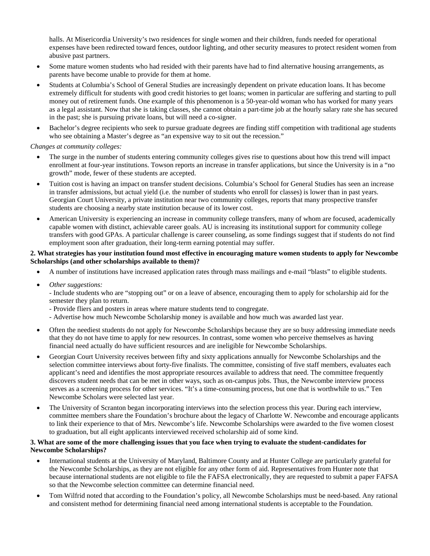halls. At Misericordia University's two residences for single women and their children, funds needed for operational expenses have been redirected toward fences, outdoor lighting, and other security measures to protect resident women from abusive past partners.

- Some mature women students who had resided with their parents have had to find alternative housing arrangements, as parents have become unable to provide for them at home.
- Students at Columbia's School of General Studies are increasingly dependent on private education loans. It has become extremely difficult for students with good credit histories to get loans; women in particular are suffering and starting to pull money out of retirement funds. One example of this phenomenon is a 50-year-old woman who has worked for many years as a legal assistant. Now that she is taking classes, she cannot obtain a part-time job at the hourly salary rate she has secured in the past; she is pursuing private loans, but will need a co-signer.
- Bachelor's degree recipients who seek to pursue graduate degrees are finding stiff competition with traditional age students who see obtaining a Master's degree as "an expensive way to sit out the recession."

#### *Changes at community colleges:*

- The surge in the number of students entering community colleges gives rise to questions about how this trend will impact enrollment at four-year institutions. Towson reports an increase in transfer applications, but since the University is in a "no growth" mode, fewer of these students are accepted.
- Tuition cost is having an impact on transfer student decisions. Columbia's School for General Studies has seen an increase in transfer admissions, but actual yield (i.e. the number of students who enroll for classes) is lower than in past years. Georgian Court University, a private institution near two community colleges, reports that many prospective transfer students are choosing a nearby state institution because of its lower cost.
- American University is experiencing an increase in community college transfers, many of whom are focused, academically capable women with distinct, achievable career goals. AU is increasing its institutional support for community college transfers with good GPAs. A particular challenge is career counseling, as some findings suggest that if students do not find employment soon after graduation, their long-term earning potential may suffer.

#### **2. What strategies has your institution found most effective in encouraging mature women students to apply for Newcombe Scholarships (and other scholarships available to them)?**

- A number of institutions have increased application rates through mass mailings and e-mail "blasts" to eligible students.
- *Other suggestions:*

- Include students who are "stopping out" or on a leave of absence, encouraging them to apply for scholarship aid for the semester they plan to return.

- Provide fliers and posters in areas where mature students tend to congregate.
- Advertise how much Newcombe Scholarship money is available and how much was awarded last year.
- Often the neediest students do not apply for Newcombe Scholarships because they are so busy addressing immediate needs that they do not have time to apply for new resources. In contrast, some women who perceive themselves as having financial need actually do have sufficient resources and are ineligible for Newcombe Scholarships.
- Georgian Court University receives between fifty and sixty applications annually for Newcombe Scholarships and the selection committee interviews about forty-five finalists. The committee, consisting of five staff members, evaluates each applicant's need and identifies the most appropriate resources available to address that need. The committee frequently discovers student needs that can be met in other ways, such as on-campus jobs. Thus, the Newcombe interview process serves as a screening process for other services. "It's a time-consuming process, but one that is worthwhile to us." Ten Newcombe Scholars were selected last year.
- The University of Scranton began incorporating interviews into the selection process this year. During each interview, committee members share the Foundation's brochure about the legacy of Charlotte W. Newcombe and encourage applicants to link their experience to that of Mrs. Newcombe's life. Newcombe Scholarships were awarded to the five women closest to graduation, but all eight applicants interviewed received scholarship aid of some kind.

### **3. What are some of the more challenging issues that you face when trying to evaluate the student-candidates for Newcombe Scholarships?**

- International students at the University of Maryland, Baltimore County and at Hunter College are particularly grateful for the Newcombe Scholarships, as they are not eligible for any other form of aid. Representatives from Hunter note that because international students are not eligible to file the FAFSA electronically, they are requested to submit a paper FAFSA so that the Newcombe selection committee can determine financial need.
- Tom Wilfrid noted that according to the Foundation's policy, all Newcombe Scholarships must be need-based. Any rational and consistent method for determining financial need among international students is acceptable to the Foundation.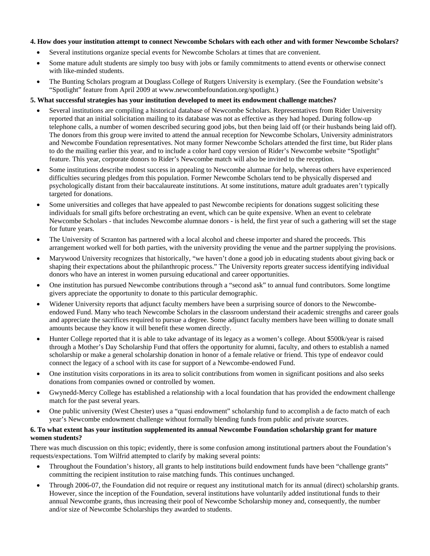#### **4. How does your institution attempt to connect Newcombe Scholars with each other and with former Newcombe Scholars?**

- Several institutions organize special events for Newcombe Scholars at times that are convenient.
- Some mature adult students are simply too busy with jobs or family commitments to attend events or otherwise connect with like-minded students.
- The Bunting Scholars program at Douglass College of Rutgers University is exemplary. (See the Foundation website's "Spotlight" feature from April 2009 at [www.newcombefoundation.org/spotlight.](http://www.newcombefoundation.org/spotlight))

### **5. What successful strategies has your institution developed to meet its endowment challenge matches?**

- Several institutions are compiling a historical database of Newcombe Scholars. Representatives from Rider University reported that an initial solicitation mailing to its database was not as effective as they had hoped. During follow-up telephone calls, a number of women described securing good jobs, but then being laid off (or their husbands being laid off). The donors from this group were invited to attend the annual reception for Newcombe Scholars, University administrators and Newcombe Foundation representatives. Not many former Newcombe Scholars attended the first time, but Rider plans to do the mailing earlier this year, and to include a color hard copy version of Rider's Newcombe website "Spotlight" feature. This year, corporate donors to Rider's Newcombe match will also be invited to the reception.
- Some institutions describe modest success in appealing to Newcombe alumnae for help, whereas others have experienced difficulties securing pledges from this population. Former Newcombe Scholars tend to be physically dispersed and psychologically distant from their baccalaureate institutions. At some institutions, mature adult graduates aren't typically targeted for donations.
- Some universities and colleges that have appealed to past Newcombe recipients for donations suggest soliciting these individuals for small gifts before orchestrating an event, which can be quite expensive. When an event to celebrate Newcombe Scholars - that includes Newcombe alumnae donors - is held, the first year of such a gathering will set the stage for future years.
- The University of Scranton has partnered with a local alcohol and cheese importer and shared the proceeds. This arrangement worked well for both parties, with the university providing the venue and the partner supplying the provisions.
- Marywood University recognizes that historically, "we haven't done a good job in educating students about giving back or shaping their expectations about the philanthropic process." The University reports greater success identifying individual donors who have an interest in women pursuing educational and career opportunities.
- One institution has pursued Newcombe contributions through a "second ask" to annual fund contributors. Some longtime givers appreciate the opportunity to donate to this particular demographic.
- Widener University reports that adjunct faculty members have been a surprising source of donors to the Newcombeendowed Fund. Many who teach Newcombe Scholars in the classroom understand their academic strengths and career goals and appreciate the sacrifices required to pursue a degree. Some adjunct faculty members have been willing to donate small amounts because they know it will benefit these women directly.
- Hunter College reported that it is able to take advantage of its legacy as a women's college. About \$500k/year is raised through a Mother's Day Scholarship Fund that offers the opportunity for alumni, faculty, and others to establish a named scholarship or make a general scholarship donation in honor of a female relative or friend. This type of endeavor could connect the legacy of a school with its case for support of a Newcombe-endowed Fund.
- One institution visits corporations in its area to solicit contributions from women in significant positions and also seeks donations from companies owned or controlled by women.
- Gwynedd-Mercy College has established a relationship with a local foundation that has provided the endowment challenge match for the past several years.
- One public university (West Chester) uses a "quasi endowment" scholarship fund to accomplish a de facto match of each year's Newcombe endowment challenge without formally blending funds from public and private sources.

#### **6. To what extent has your institution supplemented its annual Newcombe Foundation scholarship grant for mature women students?**

There was much discussion on this topic; evidently, there is some confusion among institutional partners about the Foundation's requests/expectations. Tom Wilfrid attempted to clarify by making several points:

- Throughout the Foundation's history, all grants to help institutions build endowment funds have been "challenge grants" committing the recipient institution to raise matching funds. This continues unchanged.
- Through 2006-07, the Foundation did not require or request any institutional match for its annual (direct) scholarship grants. However, since the inception of the Foundation, several institutions have voluntarily added institutional funds to their annual Newcombe grants, thus increasing their pool of Newcombe Scholarship money and, consequently, the number and/or size of Newcombe Scholarships they awarded to students.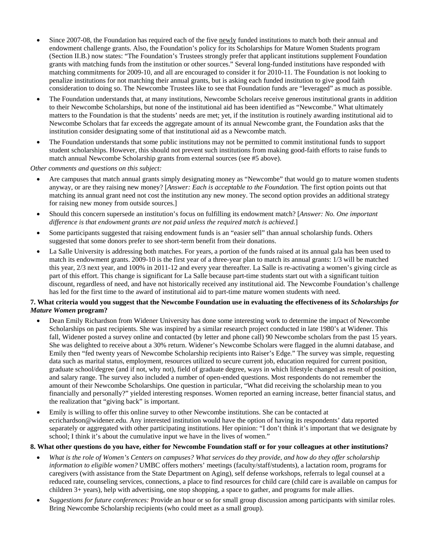- Since 2007-08, the Foundation has required each of the five newly funded institutions to match both their annual and endowment challenge grants. Also, the Foundation's policy for its Scholarships for Mature Women Students program (Section II.B.) now states: "The Foundation's Trustees strongly prefer that applicant institutions supplement Foundation grants with matching funds from the institution or other sources." Several long-funded institutions have responded with matching commitments for 2009-10, and all are encouraged to consider it for 2010-11. The Foundation is not looking to penalize institutions for not matching their annual grants, but is asking each funded institution to give good faith consideration to doing so. The Newcombe Trustees like to see that Foundation funds are "leveraged" as much as possible.
- The Foundation understands that, at many institutions, Newcombe Scholars receive generous institutional grants in addition to their Newcombe Scholarships, but none of the institutional aid has been identified as "Newcombe." What ultimately matters to the Foundation is that the students' needs are met; yet, if the institution is routinely awarding institutional aid to Newcombe Scholars that far exceeds the aggregate amount of its annual Newcombe grant, the Foundation asks that the institution consider designating some of that institutional aid as a Newcombe match.
- The Foundation understands that some public institutions may not be permitted to commit institutional funds to support student scholarships. However, this should not prevent such institutions from making good-faith efforts to raise funds to match annual Newcombe Scholarship grants from external sources (see #5 above).

*Other comments and questions on this subject:* 

- Are campuses that match annual grants simply designating money as "Newcombe" that would go to mature women students anyway, or are they raising new money? [*Answer: Each is acceptable to the Foundation.* The first option points out that matching its annual grant need not cost the institution any new money. The second option provides an additional strategy for raising new money from outside sources.]
- Should this concern supersede an institution's focus on fulfilling its endowment match? [*Answer: No. One important difference is that endowment grants are not paid unless the required match is achieved.*]
- Some participants suggested that raising endowment funds is an "easier sell" than annual scholarship funds. Others suggested that some donors prefer to see short-term benefit from their donations.
- La Salle University is addressing both matches. For years, a portion of the funds raised at its annual gala has been used to match its endowment grants. 2009-10 is the first year of a three-year plan to match its annual grants: 1/3 will be matched this year, 2/3 next year, and 100% in 2011-12 and every year thereafter. La Salle is re-activating a women's giving circle as part of this effort. This change is significant for La Salle because part-time students start out with a significant tuition discount, regardless of need, and have not historically received any institutional aid. The Newcombe Foundation's challenge has led for the first time to the award of institutional aid to part-time mature women students with need.

#### **7. What criteria would you suggest that the Newcombe Foundation use in evaluating the effectiveness of its** *Scholarships for Mature Women* **program?**

- Dean Emily Richardson from Widener University has done some interesting work to determine the impact of Newcombe Scholarships on past recipients. She was inspired by a similar research project conducted in late 1980's at Widener. This fall, Widener posted a survey online and contacted (by letter and phone call) 90 Newcombe scholars from the past 15 years. She was delighted to receive about a 30% return. Widener's Newcombe Scholars were flagged in the alumni database, and Emily then "fed twenty years of Newcombe Scholarship recipients into Raiser's Edge." The survey was simple, requesting data such as marital status, employment, resources utilized to secure current job, education required for current position, graduate school/degree (and if not, why not), field of graduate degree, ways in which lifestyle changed as result of position, and salary range. The survey also included a number of open-ended questions. Most respondents do not remember the amount of their Newcombe Scholarships. One question in particular, "What did receiving the scholarship mean to you financially and personally?" yielded interesting responses. Women reported an earning increase, better financial status, and the realization that "giving back" is important.
- Emily is willing to offer this online survey to other Newcombe institutions. She can be contacted at [ecrichardson@widener.edu.](mailto:ecrichardson@widener.edu) Any interested institution would have the option of having its respondents' data reported separately or aggregated with other participating institutions. Her opinion: "I don't think it's important that we designate by school; I think it's about the cumulative input we have in the lives of women."

#### **8. What other questions do you have, either for Newcombe Foundation staff or for your colleagues at other institutions?**

- *What is the role of Women's Centers on campuses? What services do they provide, and how do they offer scholarship information to eligible women?* UMBC offers mothers' meetings (faculty/staff/students), a lactation room, programs for caregivers (with assistance from the State Department on Aging), self defense workshops, referrals to legal counsel at a reduced rate, counseling services, connections, a place to find resources for child care (child care is available on campus for children 3+ years), help with advertising, one stop shopping, a space to gather, and programs for male allies.
- *Suggestions for future conferences:* Provide an hour or so for small group discussion among participants with similar roles. Bring Newcombe Scholarship recipients (who could meet as a small group).